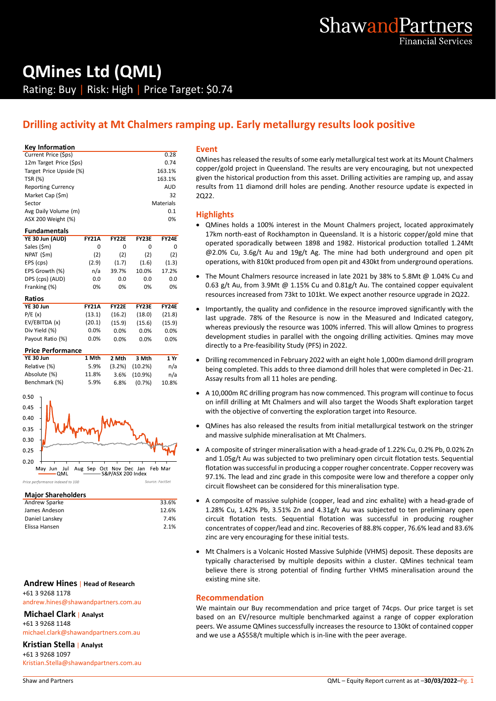# **QMines Ltd (QML)**

Rating: Buy | Risk: High | Price Target: \$0.74

## **Drilling activity at Mt Chalmers ramping up. Early metallurgy results look positive**

#### **Key Information**

| Current Price (\$ps)      | 0.28       |   |
|---------------------------|------------|---|
| 12m Target Price (\$ps)   | 0.74       | C |
| Target Price Upside (%)   | 163.1%     | c |
| <b>TSR (%)</b>            | 163.1%     | g |
| <b>Reporting Currency</b> | <b>AUD</b> | n |
| Market Cap (\$m)          | 32         | 2 |
| Sector                    | Materials  |   |
| Avg Daily Volume (m)      | 0.1        | ŀ |
| ASX 200 Weight (%)        | 0%         |   |
|                           |            |   |

| <b>Fundamentals</b> |              |              |              |              |  |  |
|---------------------|--------------|--------------|--------------|--------------|--|--|
| YE 30 Jun (AUD)     | <b>FY21A</b> | <b>FY22E</b> | <b>FY23E</b> | <b>FY24E</b> |  |  |
| Sales (\$m)         | 0            | 0            | 0            | 0            |  |  |
| NPAT (\$m)          | (2)          | (2)          | (2)          | (2)          |  |  |
| EPS (cps)           | (2.9)        | (1.7)        | (1.6)        | (1.3)        |  |  |
| EPS Growth (%)      | n/a          | 39.7%        | 10.0%        | 17.2%        |  |  |
| DPS (cps) (AUD)     | 0.0          | 0.0          | 0.0          | 0.0          |  |  |
| Franking (%)        | 0%           | 0%           | 0%           | 0%           |  |  |
| Ratios              |              |              |              |              |  |  |
| <b>YE 30 Jun</b>    | <b>FY21A</b> | <b>FY22E</b> | <b>FY23E</b> | <b>FY24E</b> |  |  |
| P/E(x)              | (13.1)       | (16.2)       | (18.0)       | (21.8)       |  |  |
| EV/EBITDA (x)       | (20.1)       | (15.9)       | (15.6)       | (15.9)       |  |  |

| Div Yield (%)            | 0.0%  | $0.0\%$   | $0.0\%$ | $0.0\%$ |
|--------------------------|-------|-----------|---------|---------|
| Payout Ratio (%)         | 0.0%  | $0.0\%$   | 0.0%    | 0.0%    |
| <b>Price Performance</b> |       |           |         |         |
| YE 30 Jun                | 1 Mth | 2 Mth     | 3 Mth   | 1 Yr    |
|                          |       |           |         |         |
| Relative (%)             | 5.9%  | $(3.2\%)$ | (10.2%) | n/a     |



#### **Major Shareholders**

| Andrew Sparke  | 33.6% |  |
|----------------|-------|--|
| James Andeson  | 12.6% |  |
| Daniel Lanskey | 7.4%  |  |
| Elissa Hansen  | 2.1%  |  |
|                |       |  |

#### **Andrew Hines** | **Head of Research** +61 3 9268 1178

andrew.hines@shawandpartners.com.au

**Michael Clark** | **Analyst**

+61 3 9268 1148

michael.clark@shawandpartners.com.au

#### **Kristian Stella** | **Analyst**

+61 3 9268 1097 Kristian.Stella@shawandpartners.com.au

#### **Event**

QMines has released the results of some early metallurgical test work at its Mount Chalmers copper/gold project in Queensland. The results are very encouraging, but not unexpected given the historical production from this asset. Drilling activities are ramping up, and assay results from 11 diamond drill holes are pending. Another resource update is expected in 2Q22.

#### **Highlights**

- QMines holds a 100% interest in the Mount Chalmers project, located approximately 17km north-east of Rockhampton in Queensland. It is a historic copper/gold mine that operated sporadically between 1898 and 1982. Historical production totalled 1.24Mt  $\omega$ 2.0% Cu, 3.6g/t Au and 19g/t Ag. The mine had both underground and open pit operations, with 810kt produced from open pit and 430kt from underground operations.
- The Mount Chalmers resource increased in late 2021 by 38% to 5.8Mt @ 1.04% Cu and 0.63 g/t Au, from 3.9Mt @ 1.15% Cu and 0.81g/t Au. The contained copper equivalent resources increased from 73kt to 101kt. We expect another resource upgrade in 2Q22.
- Importantly, the quality and confidence in the resource improved significantly with the last upgrade. 78% of the Resource is now in the Measured and Indicated category, whereas previously the resource was 100% inferred. This will allow Qmines to progress development studies in parallel with the ongoing drilling activities. Qmines may move directly to a Pre-feasibility Study (PFS) in 2022.
- Drilling recommenced in February 2022 with an eight hole 1,000m diamond drill program being completed. This adds to three diamond drill holes that were completed in Dec-21. Assay results from all 11 holes are pending.
- A 10,000m RC drilling program has now commenced. This program will continue to focus on infill drilling at Mt Chalmers and will also target the Woods Shaft exploration target with the objective of converting the exploration target into Resource.
- QMines has also released the results from initial metallurgical testwork on the stringer and massive sulphide mineralisation at Mt Chalmers.
- A composite of stringer mineralisation with a head-grade of 1.22% Cu, 0.2% Pb, 0.02% Zn and 1.05g/t Au was subjected to two preliminary open circuit flotation tests. Sequential flotation was successful in producing a copper rougher concentrate. Copper recovery was 97.1%. The lead and zinc grade in this composite were low and therefore a copper only circuit flowsheet can be considered for this mineralisation type.
- A composite of massive sulphide (copper, lead and zinc exhalite) with a head-grade of 1.28% Cu, 1.42% Pb, 3.51% Zn and 4.31g/t Au was subjected to ten preliminary open circuit flotation tests. Sequential flotation was successful in producing rougher concentrates of copper/lead and zinc. Recoveries of 88.8% copper, 76.6% lead and 83.6% zinc are very encouraging for these initial tests.
- Mt Chalmers is a Volcanic Hosted Massive Sulphide (VHMS) deposit. These deposits are typically characterised by multiple deposits within a cluster. QMines technical team believe there is strong potential of finding further VHMS mineralisation around the existing mine site.

#### **Recommendation**

We maintain our Buy recommendation and price target of 74cps. Our price target is set based on an EV/resource multiple benchmarked against a range of copper exploration peers. We assume QMines successfully increases the resource to 130kt of contained copper and we use a A\$558/t multiple which is in-line with the peer average.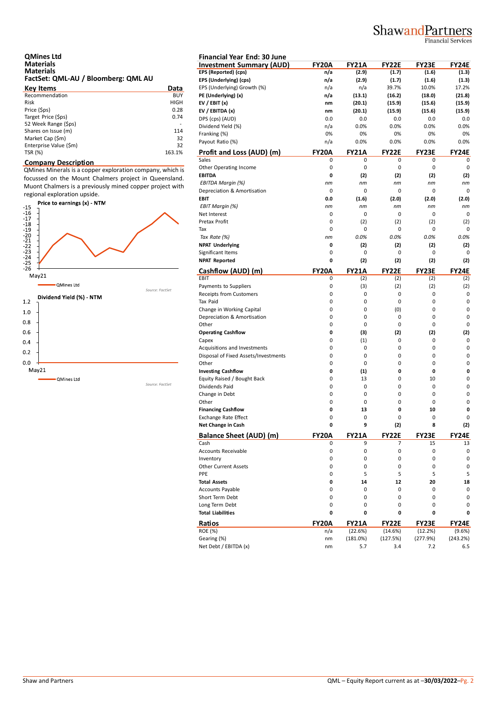## ShawandPartners

Financial Services

| <b>QMines Ltd</b>                   |  |
|-------------------------------------|--|
| <b>Materials</b>                    |  |
| <b>Materials</b>                    |  |
| FactSet: QML-AU / Bloomberg: QML AU |  |

| <b>Key Items</b>       | Data        | EP. |
|------------------------|-------------|-----|
| Recommendation         | <b>BUY</b>  | PE  |
| <b>Risk</b>            | <b>HIGH</b> | EV  |
| Price (\$ps)           | 0.28        | EV  |
| Target Price (\$ps)    | 0.74        | DP  |
| 52 Week Range (\$ps)   |             | Di  |
| Shares on Issue (m)    | 114         | Fra |
| Market Cap (\$m)       | 32          | Pa  |
| Enterprise Value (\$m) | 32          |     |
| TSR (%)                | 163.1%      | Pr  |

#### **Company Description**

QMines Minerals is a copper exploration company, which is focussed on the Mount Chalmers project in Queensland. Muont Chalmers is a previously mined copper project with regional exploration upside.



| <b>Financial Year End: 30 June</b>   |                   |                     |                     |                     |                     |
|--------------------------------------|-------------------|---------------------|---------------------|---------------------|---------------------|
| <b>Investment Summary (AUD)</b>      | <b>FY20A</b>      | <b>FY21A</b>        | <b>FY22E</b>        | FY23E               | <b>FY24E</b>        |
| EPS (Reported) (cps)                 | n/a               | (2.9)               | (1.7)               | (1.6)               | (1.3)               |
| EPS (Underlying) (cps)               | n/a               | (2.9)               | (1.7)               | (1.6)               | (1.3)               |
| EPS (Underlying) Growth (%)          | n/a               | n/a                 | 39.7%               | 10.0%               | 17.2%               |
| PE (Underlying) (x)                  | n/a               | (13.1)              | (16.2)              | (18.0)              | (21.8)              |
| EV / EBIT $(x)$                      | nm                | (20.1)              | (15.9)              | (15.6)              | (15.9)              |
| EV / EBITDA (x)                      | nm                | (20.1)              | (15.9)              | (15.6)              | (15.9)              |
| DPS (cps) (AUD)                      | 0.0               | 0.0                 | 0.0                 | 0.0                 | 0.0                 |
| Dividend Yield (%)                   | n/a               | 0.0%                | 0.0%                | 0.0%                | 0.0%                |
| Franking (%)                         | 0%                | 0%                  | 0%                  | 0%                  | 0%                  |
| Payout Ratio (%)                     | n/a               | 0.0%                | 0.0%                | 0.0%                | 0.0%                |
| Profit and Loss (AUD) (m)            | <b>FY20A</b>      | <b>FY21A</b>        | <b>FY22E</b>        | FY23E               | FY24E               |
| Sales                                | 0                 | 0                   | 0                   | 0                   | 0                   |
| Other Operating Income               | 0                 | 0                   | 0                   | 0                   | 0                   |
| <b>EBITDA</b>                        | 0                 | (2)                 | (2)                 | (2)                 | (2)                 |
| EBITDA Margin (%)                    | nm                | nm                  | nm                  | пm                  | nm                  |
| Depreciation & Amortisation          | 0                 | 0                   | 0                   | 0                   | 0                   |
| <b>EBIT</b>                          | 0.0               | (1.6)               | (2.0)               | (2.0)               | (2.0)               |
| <b>EBIT Margin (%)</b>               | nm                | nm                  | nm                  | пm                  | nm                  |
| Net Interest                         | 0                 | 0                   | 0                   | 0                   | 0                   |
| Pretax Profit                        | 0                 | (2)                 | (2)                 | (2)                 | (2)                 |
| Tax                                  | 0                 | 0                   | 0                   | 0                   | 0                   |
| Tax Rate (%)                         | nm                | 0.0%                | 0.0%                | 0.0%                | 0.0%                |
| <b>NPAT Underlying</b>               | 0                 |                     | (2)                 |                     |                     |
| Significant Items                    | 0                 | (2)<br>0            | 0                   | (2)<br>0            | (2)<br>0            |
| <b>NPAT Reported</b>                 | 0                 |                     |                     | (2)                 |                     |
|                                      |                   | (2)                 | (2)                 |                     | (2)                 |
| Cashflow (AUD) (m)<br>EBIT           | <b>FY20A</b><br>0 | <b>FY21A</b><br>(2) | <b>FY22E</b><br>(2) | <b>FY23E</b><br>(2) | <b>FY24E</b><br>(2) |
| Payments to Suppliers                | 0                 | (3)                 | (2)                 | (2)                 | (2)                 |
| <b>Receipts from Customers</b>       | 0                 | 0                   | 0                   | 0                   | 0                   |
| Tax Paid                             | 0                 | 0                   | 0                   | 0                   | 0                   |
| Change in Working Capital            | 0                 | 0                   | (0)                 | 0                   | 0                   |
| Depreciation & Amortisation          | 0                 | 0                   | 0                   | 0                   | 0                   |
|                                      | 0                 | 0                   | 0                   | 0                   |                     |
| Other                                |                   |                     |                     |                     | 0                   |
| <b>Operating Cashflow</b>            | 0                 | (3)                 | (2)                 | (2)                 | (2)                 |
| Capex                                | 0                 | (1)                 | 0                   | 0                   | 0                   |
| Acquisitions and Investments         | 0                 | 0                   | 0                   | 0                   | 0                   |
| Disposal of Fixed Assets/Investments | 0                 | 0                   | 0                   | 0                   | 0                   |
| Other                                | 0                 | 0                   | 0                   | 0                   | 0                   |
| <b>Investing Cashflow</b>            | 0                 | (1)                 | 0                   | 0                   | 0                   |
| Equity Raised / Bought Back          | 0                 | 13                  | 0                   | 10                  | 0                   |
| Dividends Paid                       | 0                 | 0                   | 0                   | 0                   | 0                   |
| Change in Debt                       | 0                 | 0                   | 0                   | 0                   | 0                   |
| Other                                | 0                 | 0                   | 0                   | 0                   | 0                   |
| <b>Financing Cashflow</b>            | 0                 | 13                  | 0                   | 10                  | 0                   |
| <b>Exchange Rate Effect</b>          | 0                 | 0                   | 0                   | 0                   | 0                   |
| Net Change in Cash                   | 0                 | 9                   | (2)                 | 8                   | (2)                 |
| <b>Balance Sheet (AUD) (m)</b>       | <b>FY20A</b>      | <b>FY21A</b>        | <b>FY22E</b>        | FY23E               | <b>FY24E</b>        |
| Cash                                 | 0                 | 9                   | 7                   | 15                  | 13                  |
| <b>Accounts Receivable</b>           | 0                 | 0                   | 0                   | 0                   | 0                   |
| Inventory                            | 0                 | 0                   | 0                   | 0                   | 0                   |
| <b>Other Current Assets</b>          | 0                 | 0                   | 0                   | 0                   | 0                   |
| PPE                                  | 0                 | 5                   | 5                   | 5                   | 5                   |
| <b>Total Assets</b>                  | 0                 | 14                  | 12                  | 20                  | 18                  |
| <b>Accounts Payable</b>              | 0                 | 0                   | 0                   | 0                   | 0                   |
| Short Term Debt                      | 0                 | 0                   | 0                   | 0                   | 0                   |
| Long Term Debt                       | 0                 | 0                   | 0                   | 0                   | 0                   |
| <b>Total Liabilities</b>             | 0                 | 0                   | 0                   | 0                   | 0                   |
| Ratios                               | <b>FY20A</b>      | <b>FY21A</b>        | <b>FY22E</b>        | FY23E               | <b>FY24E</b>        |
| <b>ROE (%)</b>                       | n/a               | (22.6%)             | (14.6%)             | (12.2%)             | (9.6%)              |
| Gearing (%)                          | nm                | (181.0%)            | (127.5%)            | (277.9%)            | (243.2%)            |
| Net Debt / EBITDA (x)                | nm                | 5.7                 | 3.4                 | 7.2                 | 6.5                 |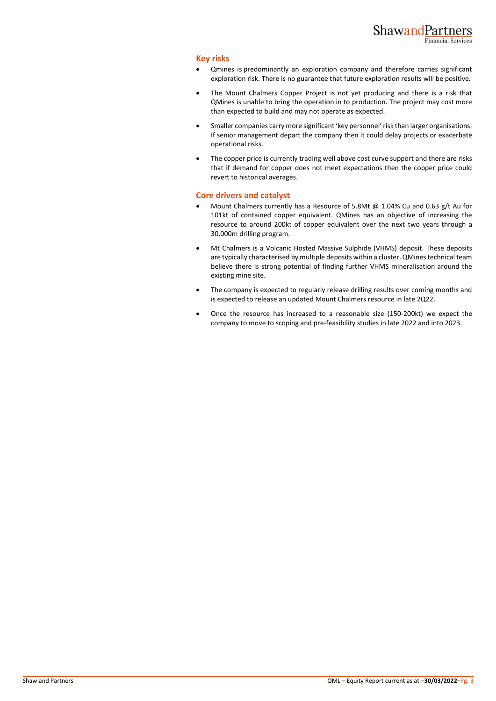#### **Key risks**

- Qmines is predominantly an exploration company and therefore carries significant exploration risk. There is no guarantee that future exploration results will be positive.
- The Mount Chalmers Copper Project is not yet producing and there is a risk that QMines is unable to bring the operation in to production. The project may cost more than expected to build and may not operate as expected.
- Smaller companies carry more significant 'key personnel' risk than larger organisations. If senior management depart the company then it could delay projects or exacerbate operational risks.
- The copper price is currently trading well above cost curve support and there are risks that if demand for copper does not meet expectations then the copper price could revert to historical averages.

#### **Core drivers and catalyst**

- Mount Chalmers currently has a Resource of 5.8Mt @ 1.04% Cu and 0.63 g/t Au for 101kt of contained copper equivalent. QMines has an objective of increasing the resource to around 200kt of copper equivalent over the next two years through a 30,000m drilling program.
- Mt Chalmers is a Volcanic Hosted Massive Sulphide (VHMS) deposit. These deposits are typically characterised by multiple deposits within a cluster. QMines technical team believe there is strong potential of finding further VHMS mineralisation around the existing mine site.
- The company is expected to regularly release drilling results over coming months and is expected to release an updated Mount Chalmers resource in late 2Q22.
- Once the resource has increased to a reasonable size (150-200kt) we expect the company to move to scoping and pre-feasibility studies in late 2022 and into 2023.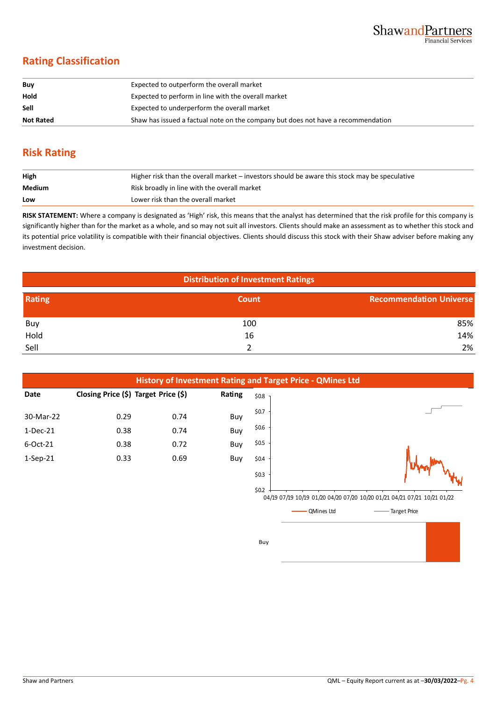## **Rating Classification**

| Buy              | Expected to outperform the overall market                                        |
|------------------|----------------------------------------------------------------------------------|
| Hold             | Expected to perform in line with the overall market                              |
| Sell             | Expected to underperform the overall market                                      |
| <b>Not Rated</b> | Shaw has issued a factual note on the company but does not have a recommendation |

## **Risk Rating**

| High   | Higher risk than the overall market – investors should be aware this stock may be speculative |
|--------|-----------------------------------------------------------------------------------------------|
| Medium | Risk broadly in line with the overall market                                                  |
| Low    | Lower risk than the overall market                                                            |

**RISK STATEMENT:** Where a company is designated as 'High' risk, this means that the analyst has determined that the risk profile for this company is significantly higher than for the market as a whole, and so may not suit all investors. Clients should make an assessment as to whether this stock and its potential price volatility is compatible with their financial objectives. Clients should discuss this stock with their Shaw adviser before making any investment decision.

| <b>Distribution of Investment Ratings</b> |       |                                |  |  |
|-------------------------------------------|-------|--------------------------------|--|--|
| Rating                                    | Count | <b>Recommendation Universe</b> |  |  |
| Buy                                       | 100   | 85%                            |  |  |
| Hold                                      | 16    | 14%                            |  |  |
| Sell                                      |       | 2%                             |  |  |



Buy